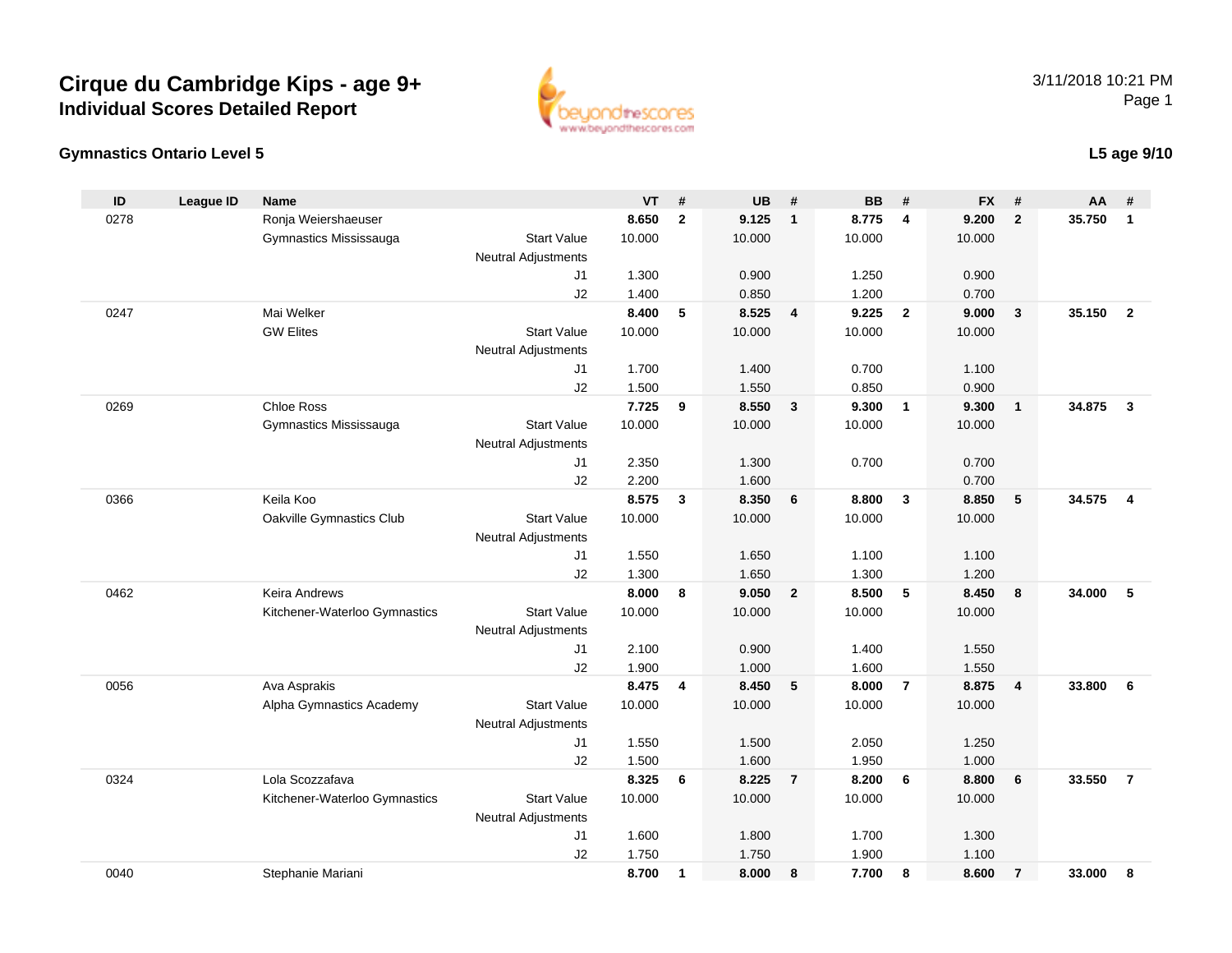



#### **L5 age 9/10**

| ID   | <b>League ID</b> | <b>Name</b>                   |                     | <b>VT</b>      | #            | <b>UB</b>      | #                       | <b>BB</b> | #                       | <b>FX</b>      | #              | AA     | #                       |
|------|------------------|-------------------------------|---------------------|----------------|--------------|----------------|-------------------------|-----------|-------------------------|----------------|----------------|--------|-------------------------|
| 0278 |                  | Ronja Weiershaeuser           |                     | 8.650          | $\mathbf{2}$ | 9.125          | $\overline{1}$          | 8.775     | 4                       | 9.200          | $\overline{2}$ | 35.750 | $\mathbf{1}$            |
|      |                  | Gymnastics Mississauga        | <b>Start Value</b>  | 10.000         |              | 10.000         |                         | 10.000    |                         | 10.000         |                |        |                         |
|      |                  |                               | Neutral Adjustments |                |              |                |                         |           |                         |                |                |        |                         |
|      |                  |                               | J1                  | 1.300          |              | 0.900          |                         | 1.250     |                         | 0.900          |                |        |                         |
|      |                  |                               | J2                  | 1.400          |              | 0.850          |                         | 1.200     |                         | 0.700          |                |        |                         |
| 0247 |                  | Mai Welker                    |                     | 8.400          | 5            | 8.525          | $\overline{\mathbf{4}}$ | 9.225     | $\overline{\mathbf{2}}$ | 9.000          | $\mathbf{3}$   | 35.150 | $\overline{2}$          |
|      |                  | <b>GW Elites</b>              | <b>Start Value</b>  | 10.000         |              | 10.000         |                         | 10.000    |                         | 10.000         |                |        |                         |
|      |                  |                               | Neutral Adjustments |                |              |                |                         |           |                         |                |                |        |                         |
|      |                  |                               | J1                  | 1.700          |              | 1.400          |                         | 0.700     |                         | 1.100          |                |        |                         |
|      |                  |                               | J2                  | 1.500          |              | 1.550          |                         | 0.850     |                         | 0.900          |                |        |                         |
| 0269 |                  | <b>Chloe Ross</b>             |                     | 7.725          | 9            | 8.550          | $\mathbf{3}$            | 9.300     | $\overline{1}$          | 9.300          | $\mathbf{1}$   | 34.875 | $\mathbf{3}$            |
|      |                  | Gymnastics Mississauga        | <b>Start Value</b>  | 10.000         |              | 10.000         |                         | 10.000    |                         | 10.000         |                |        |                         |
|      |                  |                               | Neutral Adjustments |                |              |                |                         |           |                         |                |                |        |                         |
|      |                  |                               | J1                  | 2.350          |              | 1.300          |                         | 0.700     |                         | 0.700          |                |        |                         |
|      |                  |                               | J2                  | 2.200          |              | 1.600          |                         |           |                         | 0.700          |                |        |                         |
| 0366 |                  | Keila Koo                     |                     | 8.575          | 3            | 8.350          | 6                       | 8.800     | $\mathbf{3}$            | 8.850          | 5              | 34.575 | $\overline{\mathbf{4}}$ |
|      |                  | Oakville Gymnastics Club      | <b>Start Value</b>  | 10.000         |              | 10.000         |                         | 10.000    |                         | 10.000         |                |        |                         |
|      |                  |                               | Neutral Adjustments |                |              |                |                         | 1.100     |                         |                |                |        |                         |
|      |                  |                               | J1<br>J2            | 1.550<br>1.300 |              | 1.650<br>1.650 |                         | 1.300     |                         | 1.100<br>1.200 |                |        |                         |
| 0462 |                  | Keira Andrews                 |                     | 8.000          | 8            | 9.050          | $\overline{2}$          | 8.500     | 5                       | 8.450          | 8              | 34.000 | 5                       |
|      |                  | Kitchener-Waterloo Gymnastics | <b>Start Value</b>  | 10.000         |              | 10.000         |                         | 10.000    |                         | 10.000         |                |        |                         |
|      |                  |                               | Neutral Adjustments |                |              |                |                         |           |                         |                |                |        |                         |
|      |                  |                               | J1                  | 2.100          |              | 0.900          |                         | 1.400     |                         | 1.550          |                |        |                         |
|      |                  |                               | J2                  | 1.900          |              | 1.000          |                         | 1.600     |                         | 1.550          |                |        |                         |
| 0056 |                  | Ava Asprakis                  |                     | 8.475          | 4            | 8.450          | 5                       | 8.000     | $\overline{7}$          | 8.875          | $\overline{4}$ | 33.800 | 6                       |
|      |                  | Alpha Gymnastics Academy      | <b>Start Value</b>  | 10.000         |              | 10.000         |                         | 10.000    |                         | 10.000         |                |        |                         |
|      |                  |                               | Neutral Adjustments |                |              |                |                         |           |                         |                |                |        |                         |
|      |                  |                               | J1                  | 1.550          |              | 1.500          |                         | 2.050     |                         | 1.250          |                |        |                         |
|      |                  |                               | J2                  | 1.500          |              | 1.600          |                         | 1.950     |                         | 1.000          |                |        |                         |
| 0324 |                  | Lola Scozzafava               |                     | 8.325          | 6            | 8.225          | $\overline{7}$          | 8.200     | 6                       | 8.800          | 6              | 33.550 | $\overline{7}$          |
|      |                  | Kitchener-Waterloo Gymnastics | <b>Start Value</b>  | 10.000         |              | 10.000         |                         | 10.000    |                         | 10.000         |                |        |                         |
|      |                  |                               | Neutral Adjustments |                |              |                |                         |           |                         |                |                |        |                         |
|      |                  |                               | J1                  | 1.600          |              | 1.800          |                         | 1.700     |                         | 1.300          |                |        |                         |
|      |                  |                               | J2                  | 1.750          |              | 1.750          |                         | 1.900     |                         | 1.100          |                |        |                         |
| 0040 |                  | Stephanie Mariani             |                     | 8.700          | $\mathbf{1}$ | 8.000          | 8                       | 7.700     | 8                       | 8.600          | $\overline{7}$ | 33.000 | 8                       |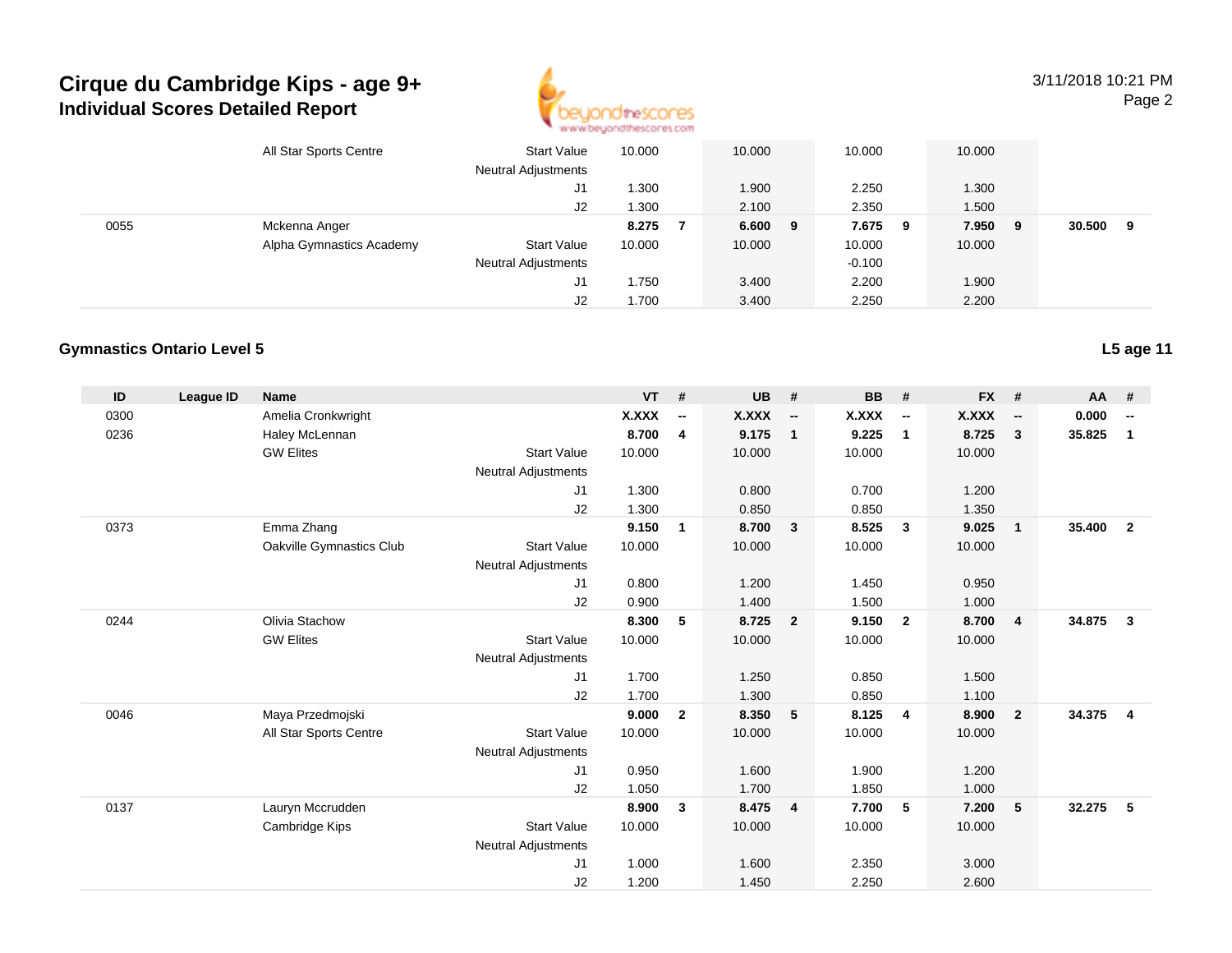

3/11/2018 10:21 PMPage 2

|      | All Star Sports Centre   | <b>Start Value</b><br><b>Neutral Adjustments</b> | 10.000 | 10.000    | 10.000   |     | 10.000 |     |        |   |  |
|------|--------------------------|--------------------------------------------------|--------|-----------|----------|-----|--------|-----|--------|---|--|
|      |                          | J1                                               | . .300 | 1.900     | 2.250    |     | 1.300  |     |        |   |  |
|      |                          | J2                                               | .300   | 2.100     | 2.350    |     | 1.500  |     |        |   |  |
| 0055 | Mckenna Anger            |                                                  | 8.275  | $6.600$ 9 | 7.675    | - 9 | 7.950  | - 9 | 30.500 | 9 |  |
|      | Alpha Gymnastics Academy | <b>Start Value</b>                               | 10.000 | 10.000    | 10.000   |     | 10.000 |     |        |   |  |
|      |                          | <b>Neutral Adjustments</b>                       |        |           | $-0.100$ |     |        |     |        |   |  |
|      |                          | J1                                               | 1.750  | 3.400     | 2.200    |     | 1.900  |     |        |   |  |
|      |                          | J2                                               | 700، ا | 3.400     | 2.250    |     | 2.200  |     |        |   |  |

#### **Gymnastics Ontario Level 5**

| ID   | League ID | <b>Name</b>              |                            | <b>VT</b> | #                        | <b>UB</b> | #                        | <b>BB</b> | #                        | <b>FX</b> | #                        | <b>AA</b> | #                        |
|------|-----------|--------------------------|----------------------------|-----------|--------------------------|-----------|--------------------------|-----------|--------------------------|-----------|--------------------------|-----------|--------------------------|
| 0300 |           | Amelia Cronkwright       |                            | X.XXX     | $\overline{\phantom{a}}$ | X.XXX     | $\overline{\phantom{a}}$ | X.XXX     | $\overline{\phantom{a}}$ | X.XXX     | $\overline{\phantom{a}}$ | 0.000     | $\overline{\phantom{a}}$ |
| 0236 |           | Haley McLennan           |                            | 8.700     | 4                        | 9.175     | $\overline{1}$           | 9.225     | $\overline{1}$           | 8.725     | $\mathbf{3}$             | 35.825    | $\mathbf{1}$             |
|      |           | <b>GW Elites</b>         | <b>Start Value</b>         | 10.000    |                          | 10.000    |                          | 10.000    |                          | 10.000    |                          |           |                          |
|      |           |                          | <b>Neutral Adjustments</b> |           |                          |           |                          |           |                          |           |                          |           |                          |
|      |           |                          | J1                         | 1.300     |                          | 0.800     |                          | 0.700     |                          | 1.200     |                          |           |                          |
|      |           |                          | J2                         | 1.300     |                          | 0.850     |                          | 0.850     |                          | 1.350     |                          |           |                          |
| 0373 |           | Emma Zhang               |                            | 9.150     | 1                        | 8.700     | $\overline{\mathbf{3}}$  | 8.525     | $\overline{\mathbf{3}}$  | 9.025     | $\mathbf{1}$             | 35.400    | $\overline{2}$           |
|      |           | Oakville Gymnastics Club | <b>Start Value</b>         | 10.000    |                          | 10.000    |                          | 10.000    |                          | 10.000    |                          |           |                          |
|      |           |                          | <b>Neutral Adjustments</b> |           |                          |           |                          |           |                          |           |                          |           |                          |
|      |           |                          | J1                         | 0.800     |                          | 1.200     |                          | 1.450     |                          | 0.950     |                          |           |                          |
|      |           |                          | J2                         | 0.900     |                          | 1.400     |                          | 1.500     |                          | 1.000     |                          |           |                          |
| 0244 |           | Olivia Stachow           |                            | 8.300     | 5                        | 8.725     | $\overline{\mathbf{2}}$  | 9.150     | $\overline{\mathbf{2}}$  | 8.700     | $\overline{4}$           | 34.875    | $\mathbf{3}$             |
|      |           | <b>GW Elites</b>         | <b>Start Value</b>         | 10.000    |                          | 10.000    |                          | 10.000    |                          | 10.000    |                          |           |                          |
|      |           |                          | <b>Neutral Adjustments</b> |           |                          |           |                          |           |                          |           |                          |           |                          |
|      |           |                          | J1                         | 1.700     |                          | 1.250     |                          | 0.850     |                          | 1.500     |                          |           |                          |
|      |           |                          | J2                         | 1.700     |                          | 1.300     |                          | 0.850     |                          | 1.100     |                          |           |                          |
| 0046 |           | Maya Przedmojski         |                            | 9.000     | $\overline{2}$           | 8.350     | $-5$                     | 8.125     | $\overline{4}$           | 8.900     | $\overline{2}$           | 34.375    | $\overline{4}$           |
|      |           | All Star Sports Centre   | <b>Start Value</b>         | 10.000    |                          | 10.000    |                          | 10.000    |                          | 10.000    |                          |           |                          |
|      |           |                          | <b>Neutral Adjustments</b> |           |                          |           |                          |           |                          |           |                          |           |                          |
|      |           |                          | J1                         | 0.950     |                          | 1.600     |                          | 1.900     |                          | 1.200     |                          |           |                          |
|      |           |                          | J2                         | 1.050     |                          | 1.700     |                          | 1.850     |                          | 1.000     |                          |           |                          |
| 0137 |           | Lauryn Mccrudden         |                            | 8.900     | 3                        | 8.475     | $\overline{4}$           | 7.700     | 5                        | 7.200     | 5                        | 32.275    | 5                        |
|      |           | Cambridge Kips           | <b>Start Value</b>         | 10.000    |                          | 10.000    |                          | 10.000    |                          | 10.000    |                          |           |                          |
|      |           |                          | <b>Neutral Adjustments</b> |           |                          |           |                          |           |                          |           |                          |           |                          |
|      |           |                          | J1                         | 1.000     |                          | 1.600     |                          | 2.350     |                          | 3.000     |                          |           |                          |
|      |           |                          | J2                         | 1.200     |                          | 1.450     |                          | 2.250     |                          | 2.600     |                          |           |                          |

**L5 age 11**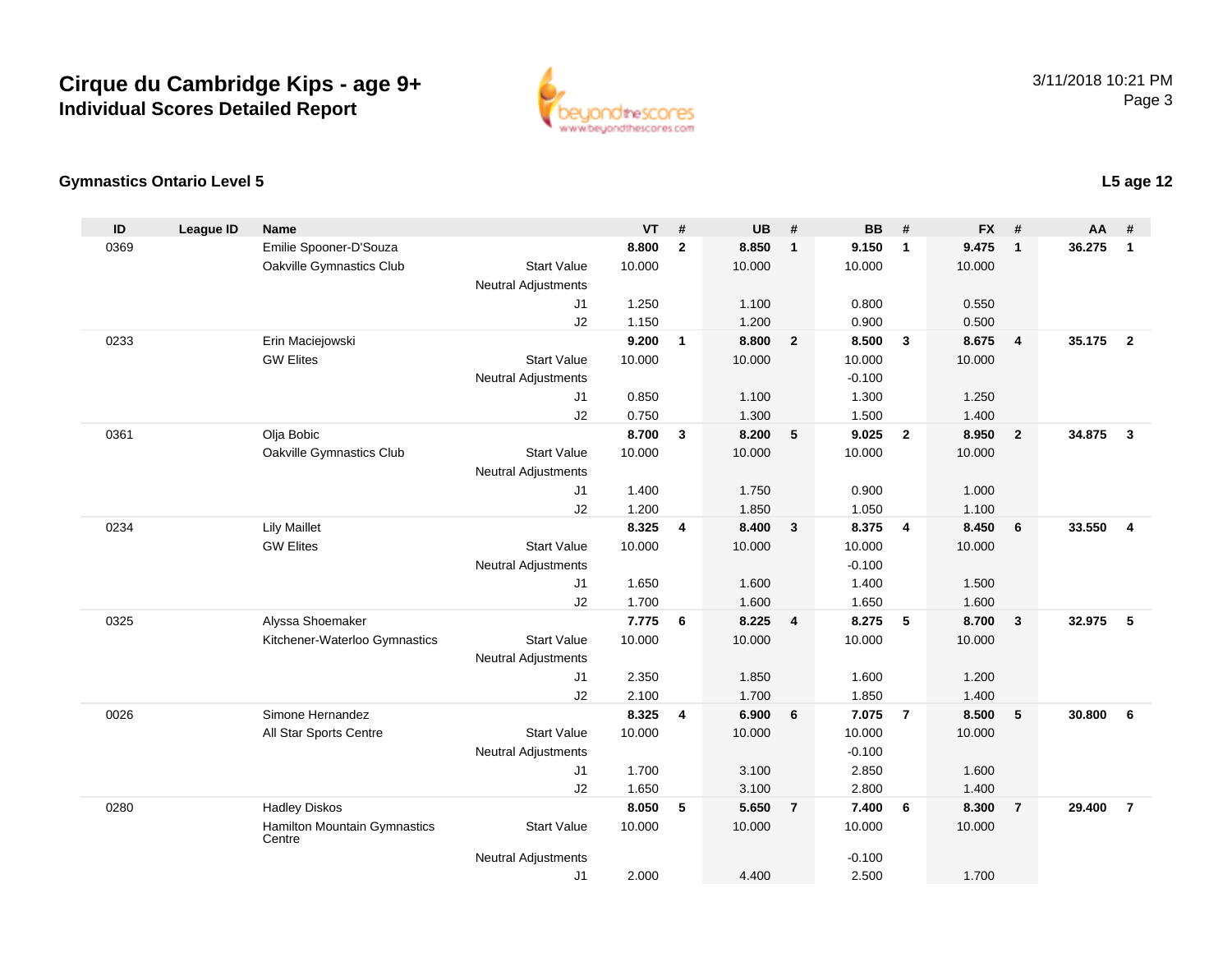

#### **Gymnastics Ontario Level 5**

| ID   | <b>League ID</b> | <b>Name</b>                   |                            | <b>VT</b>      | #                       | <b>UB</b>      | #                       | <b>BB</b>      | #                       | <b>FX</b>      | #              | $AA$ # |                |
|------|------------------|-------------------------------|----------------------------|----------------|-------------------------|----------------|-------------------------|----------------|-------------------------|----------------|----------------|--------|----------------|
| 0369 |                  | Emilie Spooner-D'Souza        |                            | 8.800          | $\overline{2}$          | 8.850          | $\mathbf{1}$            | 9.150          | $\mathbf{1}$            | 9.475          | $\mathbf{1}$   | 36.275 | $\mathbf{1}$   |
|      |                  | Oakville Gymnastics Club      | <b>Start Value</b>         | 10.000         |                         | 10.000         |                         | 10.000         |                         | 10.000         |                |        |                |
|      |                  |                               | <b>Neutral Adjustments</b> |                |                         |                |                         |                |                         |                |                |        |                |
|      |                  |                               | J1                         | 1.250          |                         | 1.100          |                         | 0.800          |                         | 0.550          |                |        |                |
|      |                  |                               | J2                         | 1.150          |                         | 1.200          |                         | 0.900          |                         | 0.500          |                |        |                |
| 0233 |                  | Erin Maciejowski              |                            | 9.200          | $\overline{1}$          | 8.800          | $\overline{2}$          | 8.500          | $\overline{\mathbf{3}}$ | 8.675          | $\overline{4}$ | 35.175 | $\overline{2}$ |
|      |                  | <b>GW Elites</b>              | <b>Start Value</b>         | 10.000         |                         | 10.000         |                         | 10.000         |                         | 10.000         |                |        |                |
|      |                  |                               | <b>Neutral Adjustments</b> |                |                         |                |                         | $-0.100$       |                         |                |                |        |                |
|      |                  |                               | J <sub>1</sub>             | 0.850          |                         | 1.100          |                         | 1.300          |                         | 1.250          |                |        |                |
| 0361 |                  | Olja Bobic                    | J2                         | 0.750<br>8.700 | 3                       | 1.300<br>8.200 | 5                       | 1.500<br>9.025 | $\overline{\mathbf{2}}$ | 1.400<br>8.950 | $\overline{2}$ | 34.875 | $\mathbf{3}$   |
|      |                  | Oakville Gymnastics Club      | <b>Start Value</b>         | 10.000         |                         | 10.000         |                         | 10.000         |                         | 10.000         |                |        |                |
|      |                  |                               | <b>Neutral Adjustments</b> |                |                         |                |                         |                |                         |                |                |        |                |
|      |                  |                               | J1                         | 1.400          |                         | 1.750          |                         | 0.900          |                         | 1.000          |                |        |                |
|      |                  |                               | J2                         | 1.200          |                         | 1.850          |                         | 1.050          |                         | 1.100          |                |        |                |
| 0234 |                  | <b>Lily Maillet</b>           |                            | 8.325          | $\overline{\mathbf{4}}$ | 8.400          | $\overline{\mathbf{3}}$ | 8.375          | $\overline{4}$          | 8.450          | 6              | 33.550 | $\overline{4}$ |
|      |                  | <b>GW Elites</b>              | <b>Start Value</b>         | 10.000         |                         | 10.000         |                         | 10.000         |                         | 10.000         |                |        |                |
|      |                  |                               | <b>Neutral Adjustments</b> |                |                         |                |                         | $-0.100$       |                         |                |                |        |                |
|      |                  |                               | J1                         | 1.650          |                         | 1.600          |                         | 1.400          |                         | 1.500          |                |        |                |
|      |                  |                               | J2                         | 1.700          |                         | 1.600          |                         | 1.650          |                         | 1.600          |                |        |                |
| 0325 |                  | Alyssa Shoemaker              |                            | 7.775          | 6                       | 8.225          | $\overline{\mathbf{4}}$ | 8.275          | 5                       | 8.700          | $\mathbf{3}$   | 32.975 | 5              |
|      |                  | Kitchener-Waterloo Gymnastics | <b>Start Value</b>         | 10.000         |                         | 10.000         |                         | 10.000         |                         | 10.000         |                |        |                |
|      |                  |                               | <b>Neutral Adjustments</b> |                |                         |                |                         |                |                         |                |                |        |                |
|      |                  |                               | J1                         | 2.350          |                         | 1.850          |                         | 1.600          |                         | 1.200          |                |        |                |
|      |                  |                               | J2                         | 2.100          |                         | 1.700          |                         | 1.850          |                         | 1.400          |                |        |                |
| 0026 |                  | Simone Hernandez              |                            | 8.325          | $\overline{\mathbf{4}}$ | 6.900          | 6                       | 7.075          | $\overline{7}$          | 8.500          | 5              | 30.800 | 6              |
|      |                  | All Star Sports Centre        | <b>Start Value</b>         | 10.000         |                         | 10.000         |                         | 10.000         |                         | 10.000         |                |        |                |
|      |                  |                               | <b>Neutral Adjustments</b> |                |                         |                |                         | $-0.100$       |                         |                |                |        |                |
|      |                  |                               | J1                         | 1.700          |                         | 3.100          |                         | 2.850          |                         | 1.600          |                |        |                |
| 0280 |                  | <b>Hadley Diskos</b>          | J2                         | 1.650<br>8.050 | 5                       | 3.100<br>5.650 | $\overline{7}$          | 2.800<br>7.400 | 6                       | 1.400<br>8.300 | $\overline{7}$ | 29.400 | $\overline{7}$ |
|      |                  | Hamilton Mountain Gymnastics  | <b>Start Value</b>         | 10.000         |                         | 10.000         |                         | 10.000         |                         | 10.000         |                |        |                |
|      |                  | Centre                        |                            |                |                         |                |                         |                |                         |                |                |        |                |
|      |                  |                               | <b>Neutral Adjustments</b> |                |                         |                |                         | $-0.100$       |                         |                |                |        |                |
|      |                  |                               | J1                         | 2.000          |                         | 4.400          |                         | 2.500          |                         | 1.700          |                |        |                |

### **L5 age 12**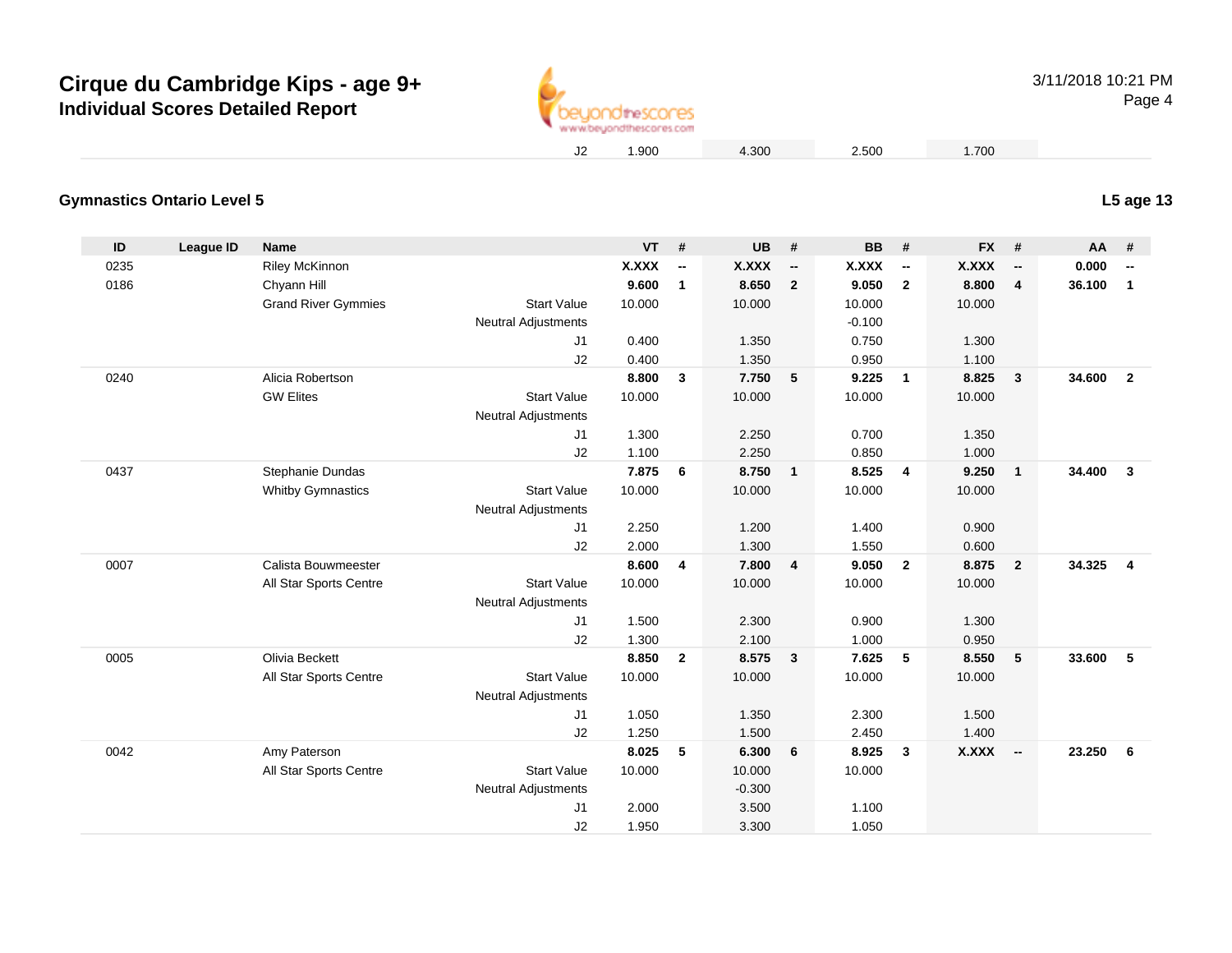

#### **Gymnastics Ontario Level 5L5 age 13**

| ID   | <b>League ID</b> | Name                       |                            | <b>VT</b> | $\pmb{\#}$               | <b>UB</b>    | #                        | <b>BB</b> | #                        | <b>FX</b>    | #                        | AA     | #                        |
|------|------------------|----------------------------|----------------------------|-----------|--------------------------|--------------|--------------------------|-----------|--------------------------|--------------|--------------------------|--------|--------------------------|
| 0235 |                  | <b>Riley McKinnon</b>      |                            | X.XXX     | $\overline{\phantom{a}}$ | <b>X.XXX</b> | $\overline{\phantom{a}}$ | X.XXX     | $\overline{\phantom{a}}$ | <b>X.XXX</b> | $\overline{\phantom{a}}$ | 0.000  | $\overline{\phantom{a}}$ |
| 0186 |                  | Chyann Hill                |                            | 9.600     | $\mathbf{1}$             | 8.650        | $\overline{2}$           | 9.050     | $\overline{2}$           | 8.800        | $\overline{4}$           | 36.100 | $\mathbf{1}$             |
|      |                  | <b>Grand River Gymmies</b> | <b>Start Value</b>         | 10.000    |                          | 10.000       |                          | 10.000    |                          | 10.000       |                          |        |                          |
|      |                  |                            | <b>Neutral Adjustments</b> |           |                          |              |                          | $-0.100$  |                          |              |                          |        |                          |
|      |                  |                            | J1                         | 0.400     |                          | 1.350        |                          | 0.750     |                          | 1.300        |                          |        |                          |
|      |                  |                            | J2                         | 0.400     |                          | 1.350        |                          | 0.950     |                          | 1.100        |                          |        |                          |
| 0240 |                  | Alicia Robertson           |                            | 8.800     | 3                        | 7.750        | 5                        | 9.225     | $\overline{\mathbf{1}}$  | 8.825        | $\mathbf{3}$             | 34.600 | $\overline{2}$           |
|      |                  | <b>GW Elites</b>           | <b>Start Value</b>         | 10.000    |                          | 10.000       |                          | 10.000    |                          | 10.000       |                          |        |                          |
|      |                  |                            | <b>Neutral Adjustments</b> |           |                          |              |                          |           |                          |              |                          |        |                          |
|      |                  |                            | J1                         | 1.300     |                          | 2.250        |                          | 0.700     |                          | 1.350        |                          |        |                          |
|      |                  |                            | J2                         | 1.100     |                          | 2.250        |                          | 0.850     |                          | 1.000        |                          |        |                          |
| 0437 |                  | Stephanie Dundas           |                            | 7.875     | 6                        | 8.750        | $\overline{1}$           | 8.525     | $\overline{4}$           | 9.250        | $\mathbf{1}$             | 34.400 | $\mathbf{3}$             |
|      |                  | <b>Whitby Gymnastics</b>   | <b>Start Value</b>         | 10.000    |                          | 10.000       |                          | 10.000    |                          | 10.000       |                          |        |                          |
|      |                  |                            | <b>Neutral Adjustments</b> |           |                          |              |                          |           |                          |              |                          |        |                          |
|      |                  |                            | J1                         | 2.250     |                          | 1.200        |                          | 1.400     |                          | 0.900        |                          |        |                          |
|      |                  |                            | J2                         | 2.000     |                          | 1.300        |                          | 1.550     |                          | 0.600        |                          |        |                          |
| 0007 |                  | Calista Bouwmeester        |                            | 8.600     | 4                        | 7.800        | $\overline{4}$           | 9.050     | $\overline{2}$           | 8.875        | $\overline{2}$           | 34.325 | $\overline{4}$           |
|      |                  | All Star Sports Centre     | <b>Start Value</b>         | 10.000    |                          | 10.000       |                          | 10.000    |                          | 10.000       |                          |        |                          |
|      |                  |                            | <b>Neutral Adjustments</b> |           |                          |              |                          |           |                          |              |                          |        |                          |
|      |                  |                            | J1                         | 1.500     |                          | 2.300        |                          | 0.900     |                          | 1.300        |                          |        |                          |
|      |                  |                            | J2                         | 1.300     |                          | 2.100        |                          | 1.000     |                          | 0.950        |                          |        |                          |
| 0005 |                  | Olivia Beckett             |                            | 8.850     | $\overline{2}$           | 8.575        | $\overline{\mathbf{3}}$  | 7.625     | 5                        | 8.550        | 5                        | 33.600 | $-5$                     |
|      |                  | All Star Sports Centre     | <b>Start Value</b>         | 10.000    |                          | 10.000       |                          | 10.000    |                          | 10.000       |                          |        |                          |
|      |                  |                            | Neutral Adjustments        |           |                          |              |                          |           |                          |              |                          |        |                          |
|      |                  |                            | J1                         | 1.050     |                          | 1.350        |                          | 2.300     |                          | 1.500        |                          |        |                          |
|      |                  |                            | J2                         | 1.250     |                          | 1.500        |                          | 2.450     |                          | 1.400        |                          |        |                          |
| 0042 |                  | Amy Paterson               |                            | 8.025     | 5                        | 6.300        | 6                        | 8.925     | $\mathbf{3}$             | X.XXX        | $\overline{\phantom{a}}$ | 23.250 | 6                        |
|      |                  | All Star Sports Centre     | <b>Start Value</b>         | 10.000    |                          | 10.000       |                          | 10.000    |                          |              |                          |        |                          |
|      |                  |                            | Neutral Adjustments        |           |                          | $-0.300$     |                          |           |                          |              |                          |        |                          |
|      |                  |                            | J1                         | 2.000     |                          | 3.500        |                          | 1.100     |                          |              |                          |        |                          |
|      |                  |                            | J2                         | 1.950     |                          | 3.300        |                          | 1.050     |                          |              |                          |        |                          |